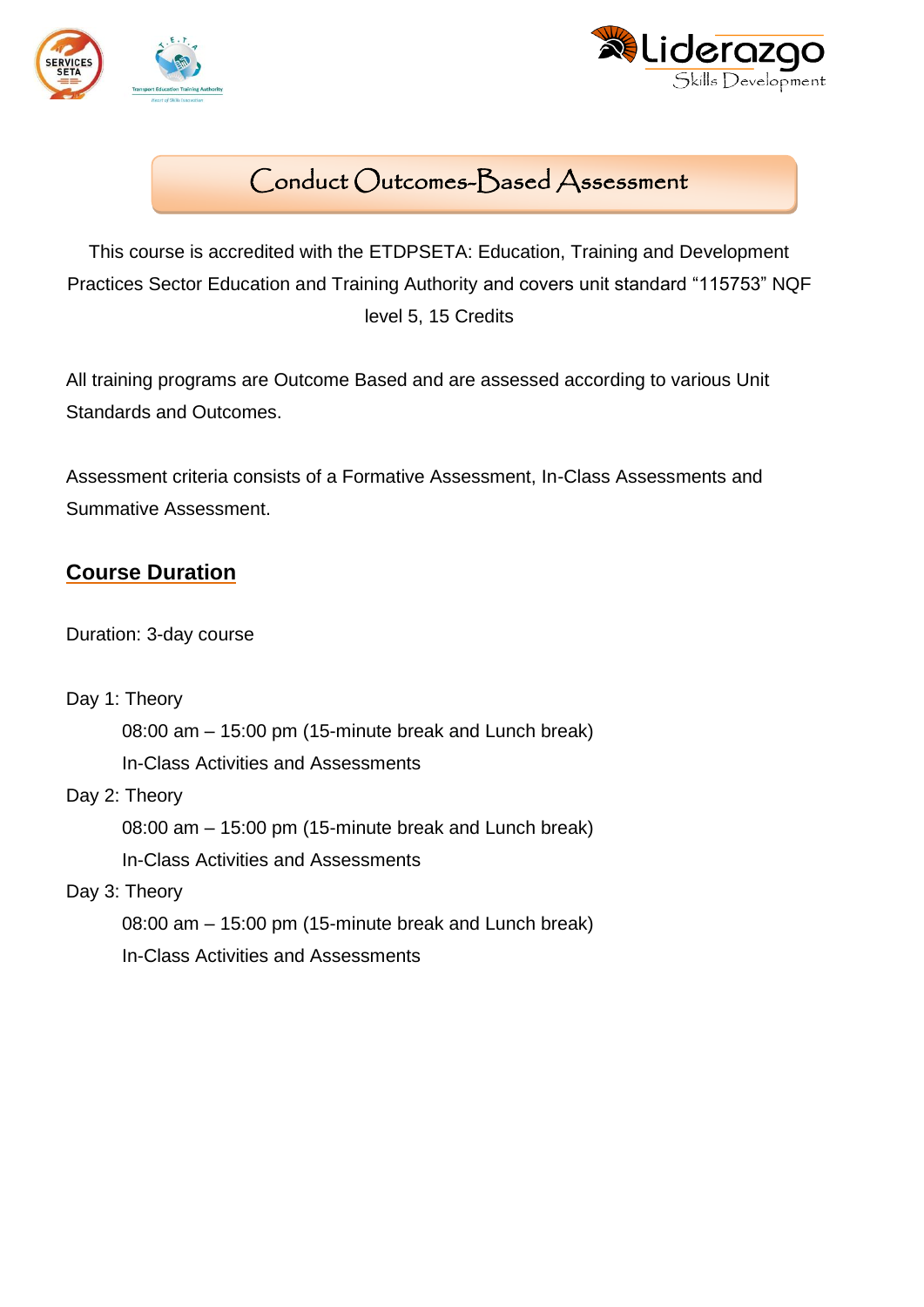



# Conduct Outcomes-Based Assessment

This course is accredited with the ETDPSETA: Education, Training and Development Practices Sector Education and Training Authority and covers unit standard "115753" NQF level 5, 15 Credits

All training programs are Outcome Based and are assessed according to various Unit Standards and Outcomes.

Assessment criteria consists of a Formative Assessment, In-Class Assessments and Summative Assessment.

# **Course Duration**

Duration: 3-day course

Day 1: Theory

08:00 am – 15:00 pm (15-minute break and Lunch break)

In-Class Activities and Assessments

Day 2: Theory

08:00 am – 15:00 pm (15-minute break and Lunch break) In-Class Activities and Assessments

Day 3: Theory

08:00 am – 15:00 pm (15-minute break and Lunch break)

In-Class Activities and Assessments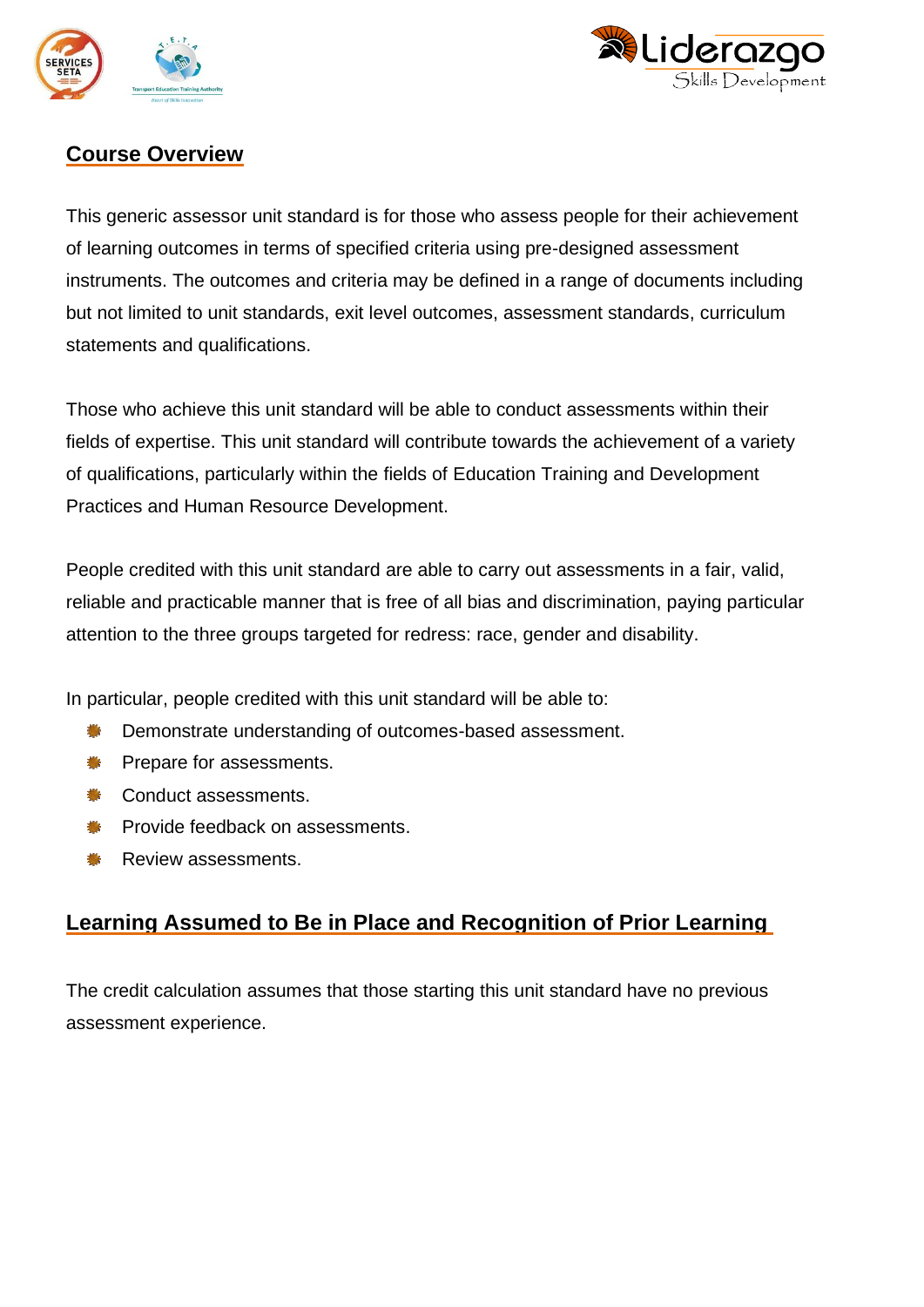



# **Course Overview**

This generic assessor unit standard is for those who assess people for their achievement of learning outcomes in terms of specified criteria using pre-designed assessment instruments. The outcomes and criteria may be defined in a range of documents including but not limited to unit standards, exit level outcomes, assessment standards, curriculum statements and qualifications.

Those who achieve this unit standard will be able to conduct assessments within their fields of expertise. This unit standard will contribute towards the achievement of a variety of qualifications, particularly within the fields of Education Training and Development Practices and Human Resource Development.

People credited with this unit standard are able to carry out assessments in a fair, valid, reliable and practicable manner that is free of all bias and discrimination, paying particular attention to the three groups targeted for redress: race, gender and disability.

In particular, people credited with this unit standard will be able to:

- Demonstrate understanding of outcomes-based assessment. 欁
- 槲 Prepare for assessments.
- 機 Conduct assessments.
- Provide feedback on assessments.
- Review assessments.

### **Learning Assumed to Be in Place and Recognition of Prior Learning**

The credit calculation assumes that those starting this unit standard have no previous assessment experience.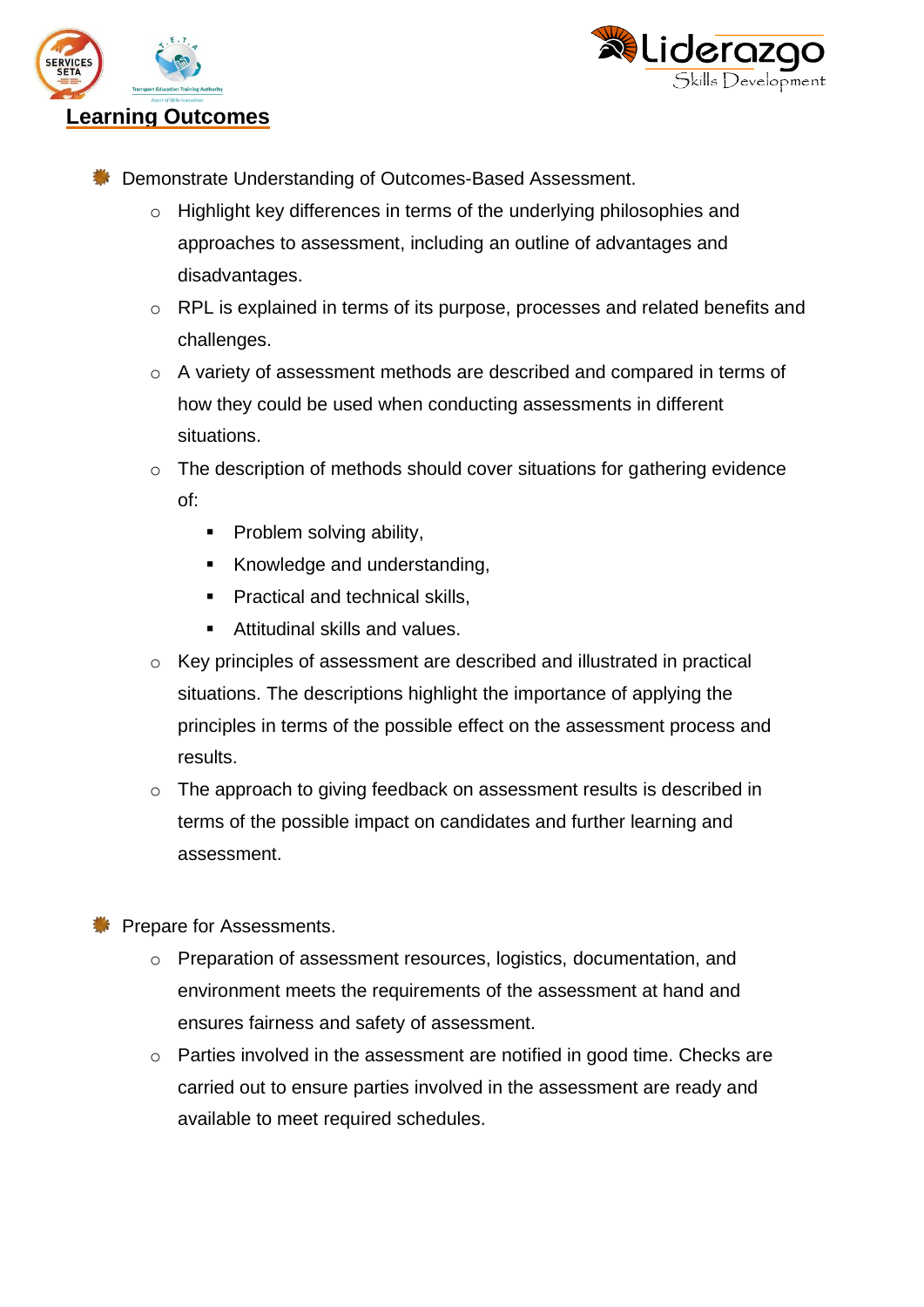



- **EXECUTE:** Demonstrate Understanding of Outcomes-Based Assessment.
	- o Highlight key differences in terms of the underlying philosophies and approaches to assessment, including an outline of advantages and disadvantages.
	- o RPL is explained in terms of its purpose, processes and related benefits and challenges.
	- o A variety of assessment methods are described and compared in terms of how they could be used when conducting assessments in different situations.
	- o The description of methods should cover situations for gathering evidence of:
		- Problem solving ability,
		- Knowledge and understanding,
		- Practical and technical skills,
		- Attitudinal skills and values.
	- o Key principles of assessment are described and illustrated in practical situations. The descriptions highlight the importance of applying the principles in terms of the possible effect on the assessment process and results.
	- o The approach to giving feedback on assessment results is described in terms of the possible impact on candidates and further learning and assessment.

**SEE Prepare for Assessments.** 

- o Preparation of assessment resources, logistics, documentation, and environment meets the requirements of the assessment at hand and ensures fairness and safety of assessment.
- o Parties involved in the assessment are notified in good time. Checks are carried out to ensure parties involved in the assessment are ready and available to meet required schedules.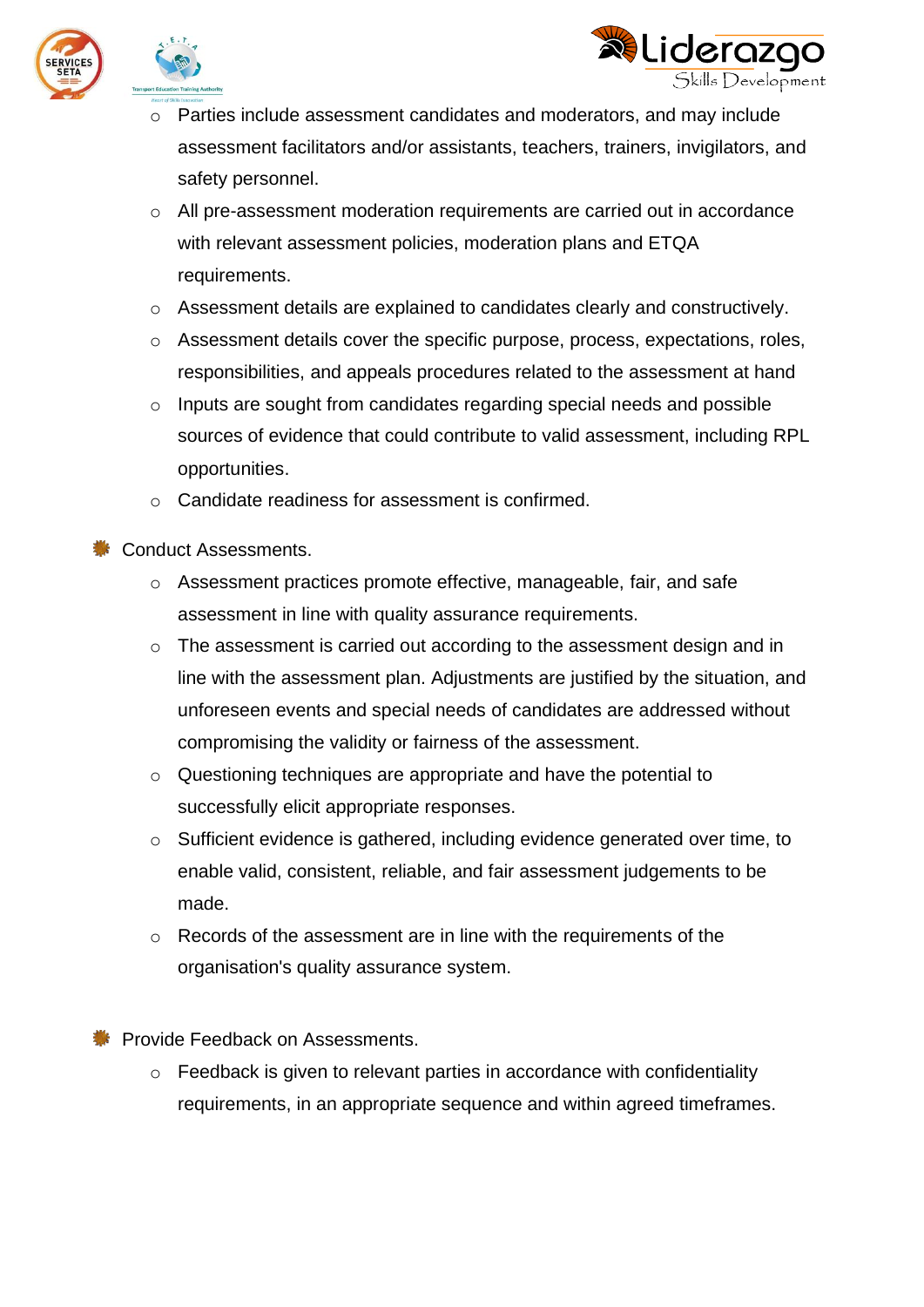



- o Parties include assessment candidates and moderators, and may include assessment facilitators and/or assistants, teachers, trainers, invigilators, and safety personnel.
- o All pre-assessment moderation requirements are carried out in accordance with relevant assessment policies, moderation plans and ETQA requirements.
- o Assessment details are explained to candidates clearly and constructively.
- o Assessment details cover the specific purpose, process, expectations, roles, responsibilities, and appeals procedures related to the assessment at hand
- o Inputs are sought from candidates regarding special needs and possible sources of evidence that could contribute to valid assessment, including RPL opportunities.
- o Candidate readiness for assessment is confirmed.

Conduct Assessments.

- o Assessment practices promote effective, manageable, fair, and safe assessment in line with quality assurance requirements.
- o The assessment is carried out according to the assessment design and in line with the assessment plan. Adjustments are justified by the situation, and unforeseen events and special needs of candidates are addressed without compromising the validity or fairness of the assessment.
- o Questioning techniques are appropriate and have the potential to successfully elicit appropriate responses.
- o Sufficient evidence is gathered, including evidence generated over time, to enable valid, consistent, reliable, and fair assessment judgements to be made.
- o Records of the assessment are in line with the requirements of the organisation's quality assurance system.

**SECONDED FRACES** Provide Feedback on Assessments.

o Feedback is given to relevant parties in accordance with confidentiality requirements, in an appropriate sequence and within agreed timeframes.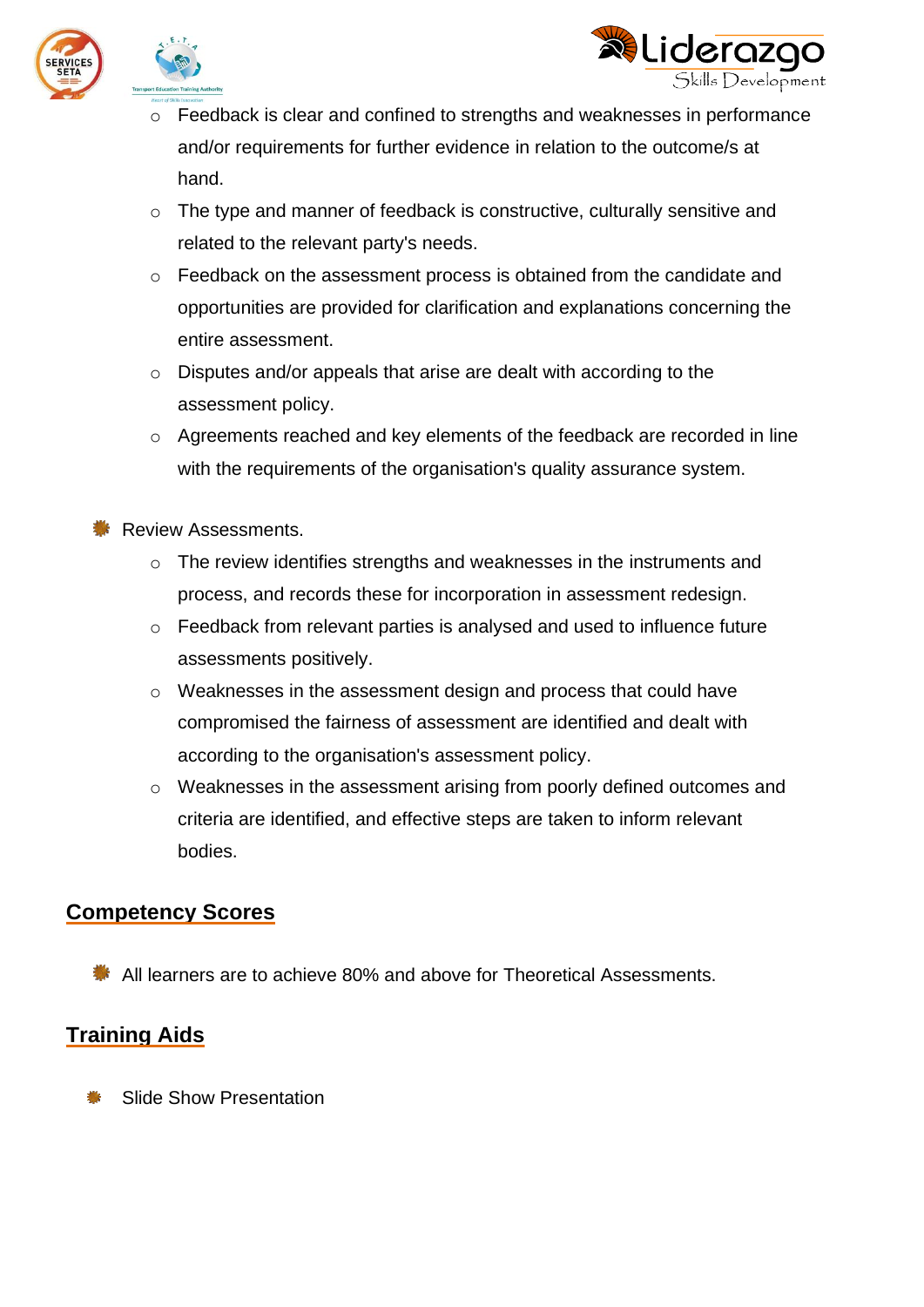



- o Feedback is clear and confined to strengths and weaknesses in performance and/or requirements for further evidence in relation to the outcome/s at hand.
- o The type and manner of feedback is constructive, culturally sensitive and related to the relevant party's needs.
- o Feedback on the assessment process is obtained from the candidate and opportunities are provided for clarification and explanations concerning the entire assessment.
- o Disputes and/or appeals that arise are dealt with according to the assessment policy.
- o Agreements reached and key elements of the feedback are recorded in line with the requirements of the organisation's quality assurance system.

**Review Assessments.** 

- o The review identifies strengths and weaknesses in the instruments and process, and records these for incorporation in assessment redesign.
- $\circ$  Feedback from relevant parties is analysed and used to influence future assessments positively.
- o Weaknesses in the assessment design and process that could have compromised the fairness of assessment are identified and dealt with according to the organisation's assessment policy.
- o Weaknesses in the assessment arising from poorly defined outcomes and criteria are identified, and effective steps are taken to inform relevant bodies.

#### **Competency Scores**

**All learners are to achieve 80% and above for Theoretical Assessments.** 

### **Training Aids**

Slide Show Presentation